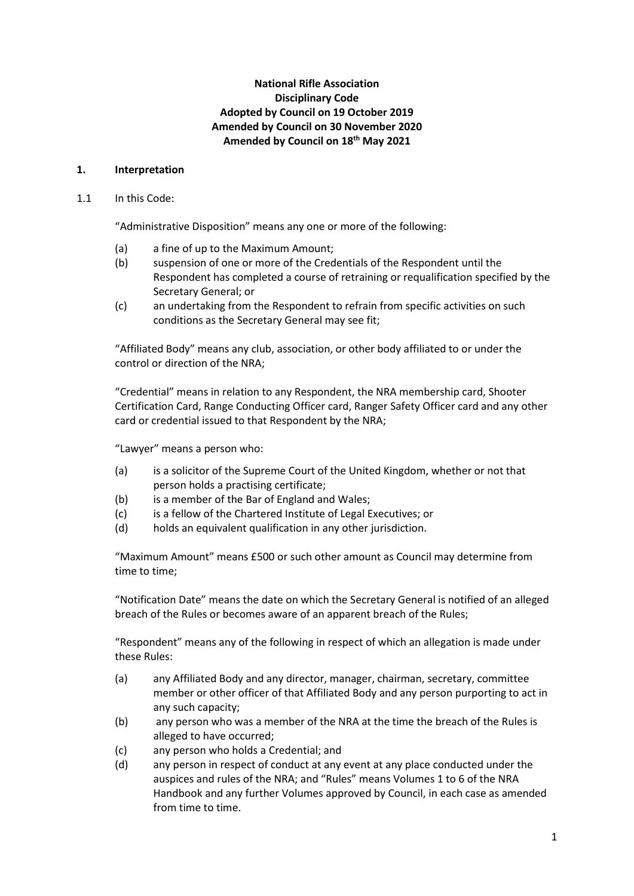# **National Rifle Association Disciplinary Code Adopted by Council on 19 October 2019 Amended by Council on 30 November 2020 Amended by Council on 18th May 2021**

### **1. Interpretation**

### 1.1 In this Code:

"Administrative Disposition" means any one or more of the following:

- (a) a fine of up to the Maximum Amount;
- (b) suspension of one or more of the Credentials of the Respondent until the Respondent has completed a course of retraining or requalification specified by the Secretary General; or
- (c) an undertaking from the Respondent to refrain from specific activities on such conditions as the Secretary General may see fit;

"Affiliated Body" means any club, association, or other body affiliated to or under the control or direction of the NRA;

"Credential" means in relation to any Respondent, the NRA membership card, Shooter Certification Card, Range Conducting Officer card, Ranger Safety Officer card and any other card or credential issued to that Respondent by the NRA;

"Lawyer" means a person who:

- (a) is a solicitor of the Supreme Court of the United Kingdom, whether or not that person holds a practising certificate;
- (b) is a member of the Bar of England and Wales;
- (c) is a fellow of the Chartered Institute of Legal Executives; or
- (d) holds an equivalent qualification in any other jurisdiction.

"Maximum Amount" means £500 or such other amount as Council may determine from time to time;

"Notification Date" means the date on which the Secretary General is notified of an alleged breach of the Rules or becomes aware of an apparent breach of the Rules;

"Respondent" means any of the following in respect of which an allegation is made under these Rules:

- (a) any Affiliated Body and any director, manager, chairman, secretary, committee member or other officer of that Affiliated Body and any person purporting to act in any such capacity;
- (b) any person who was a member of the NRA at the time the breach of the Rules is alleged to have occurred;
- (c) any person who holds a Credential; and
- (d) any person in respect of conduct at any event at any place conducted under the auspices and rules of the NRA; and "Rules" means Volumes 1 to 6 of the NRA Handbook and any further Volumes approved by Council, in each case as amended from time to time.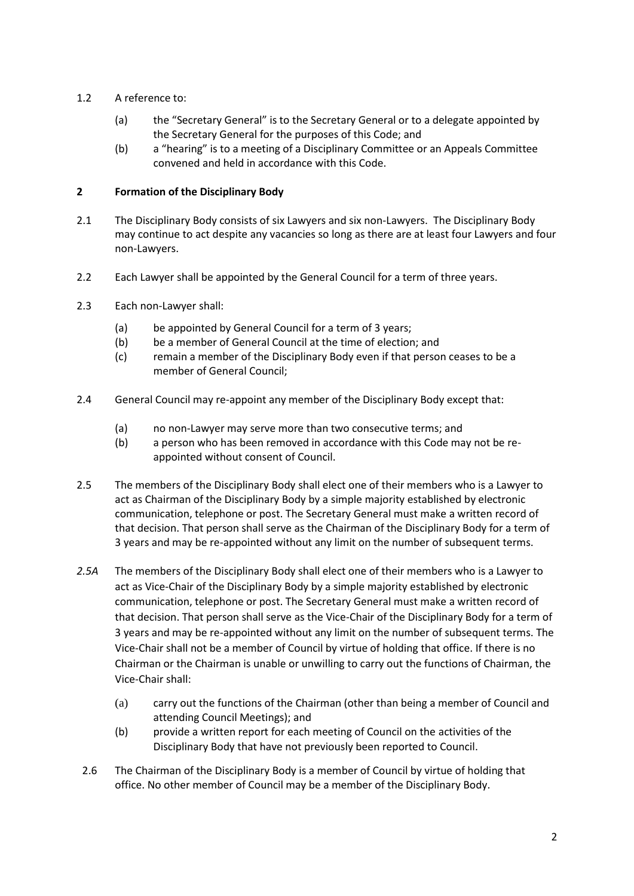# 1.2 A reference to:

- (a) the "Secretary General" is to the Secretary General or to a delegate appointed by the Secretary General for the purposes of this Code; and
- (b) a "hearing" is to a meeting of a Disciplinary Committee or an Appeals Committee convened and held in accordance with this Code.

# **2 Formation of the Disciplinary Body**

- 2.1 The Disciplinary Body consists of six Lawyers and six non-Lawyers. The Disciplinary Body may continue to act despite any vacancies so long as there are at least four Lawyers and four non-Lawyers.
- 2.2 Each Lawyer shall be appointed by the General Council for a term of three years.
- 2.3 Each non-Lawyer shall:
	- (a) be appointed by General Council for a term of 3 years;
	- (b) be a member of General Council at the time of election; and
	- (c) remain a member of the Disciplinary Body even if that person ceases to be a member of General Council;
- 2.4 General Council may re-appoint any member of the Disciplinary Body except that:
	- (a) no non-Lawyer may serve more than two consecutive terms; and
	- (b) a person who has been removed in accordance with this Code may not be reappointed without consent of Council.
- 2.5 The members of the Disciplinary Body shall elect one of their members who is a Lawyer to act as Chairman of the Disciplinary Body by a simple majority established by electronic communication, telephone or post. The Secretary General must make a written record of that decision. That person shall serve as the Chairman of the Disciplinary Body for a term of 3 years and may be re-appointed without any limit on the number of subsequent terms.
- *2.5A* The members of the Disciplinary Body shall elect one of their members who is a Lawyer to act as Vice-Chair of the Disciplinary Body by a simple majority established by electronic communication, telephone or post. The Secretary General must make a written record of that decision. That person shall serve as the Vice-Chair of the Disciplinary Body for a term of 3 years and may be re-appointed without any limit on the number of subsequent terms. The Vice-Chair shall not be a member of Council by virtue of holding that office. If there is no Chairman or the Chairman is unable or unwilling to carry out the functions of Chairman, the Vice-Chair shall:
	- (a) carry out the functions of the Chairman (other than being a member of Council and attending Council Meetings); and
	- (b) provide a written report for each meeting of Council on the activities of the Disciplinary Body that have not previously been reported to Council.
- 2.6 The Chairman of the Disciplinary Body is a member of Council by virtue of holding that office. No other member of Council may be a member of the Disciplinary Body.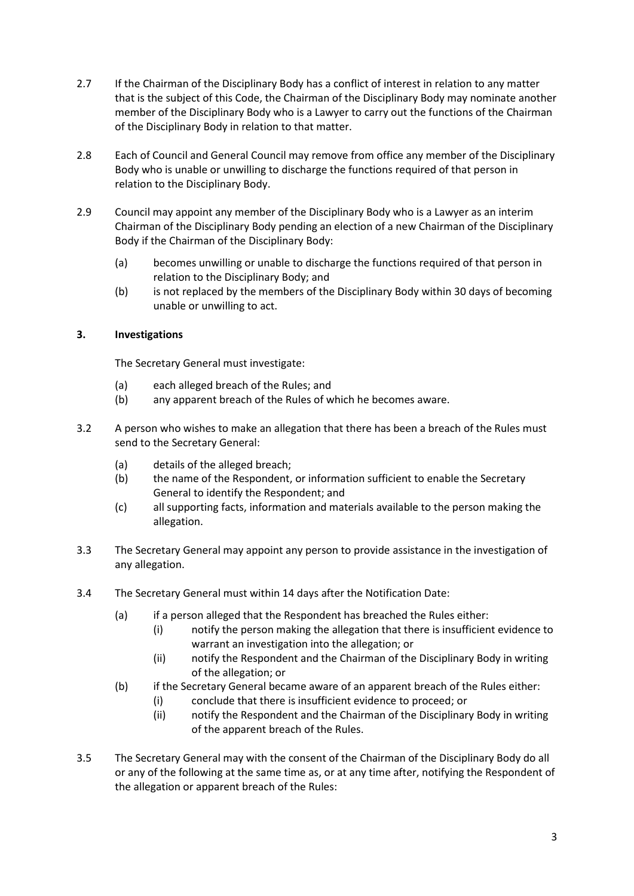- 2.7 If the Chairman of the Disciplinary Body has a conflict of interest in relation to any matter that is the subject of this Code, the Chairman of the Disciplinary Body may nominate another member of the Disciplinary Body who is a Lawyer to carry out the functions of the Chairman of the Disciplinary Body in relation to that matter.
- 2.8 Each of Council and General Council may remove from office any member of the Disciplinary Body who is unable or unwilling to discharge the functions required of that person in relation to the Disciplinary Body.
- 2.9 Council may appoint any member of the Disciplinary Body who is a Lawyer as an interim Chairman of the Disciplinary Body pending an election of a new Chairman of the Disciplinary Body if the Chairman of the Disciplinary Body:
	- (a) becomes unwilling or unable to discharge the functions required of that person in relation to the Disciplinary Body; and
	- (b) is not replaced by the members of the Disciplinary Body within 30 days of becoming unable or unwilling to act.

# **3. Investigations**

The Secretary General must investigate:

- (a) each alleged breach of the Rules; and
- (b) any apparent breach of the Rules of which he becomes aware.
- 3.2 A person who wishes to make an allegation that there has been a breach of the Rules must send to the Secretary General:
	- (a) details of the alleged breach;
	- (b) the name of the Respondent, or information sufficient to enable the Secretary General to identify the Respondent; and
	- (c) all supporting facts, information and materials available to the person making the allegation.
- 3.3 The Secretary General may appoint any person to provide assistance in the investigation of any allegation.
- 3.4 The Secretary General must within 14 days after the Notification Date:
	- (a) if a person alleged that the Respondent has breached the Rules either:
		- (i) notify the person making the allegation that there is insufficient evidence to warrant an investigation into the allegation; or
		- (ii) notify the Respondent and the Chairman of the Disciplinary Body in writing of the allegation; or
	- (b) if the Secretary General became aware of an apparent breach of the Rules either:
		- (i) conclude that there is insufficient evidence to proceed; or
		- (ii) notify the Respondent and the Chairman of the Disciplinary Body in writing of the apparent breach of the Rules.
- 3.5 The Secretary General may with the consent of the Chairman of the Disciplinary Body do all or any of the following at the same time as, or at any time after, notifying the Respondent of the allegation or apparent breach of the Rules: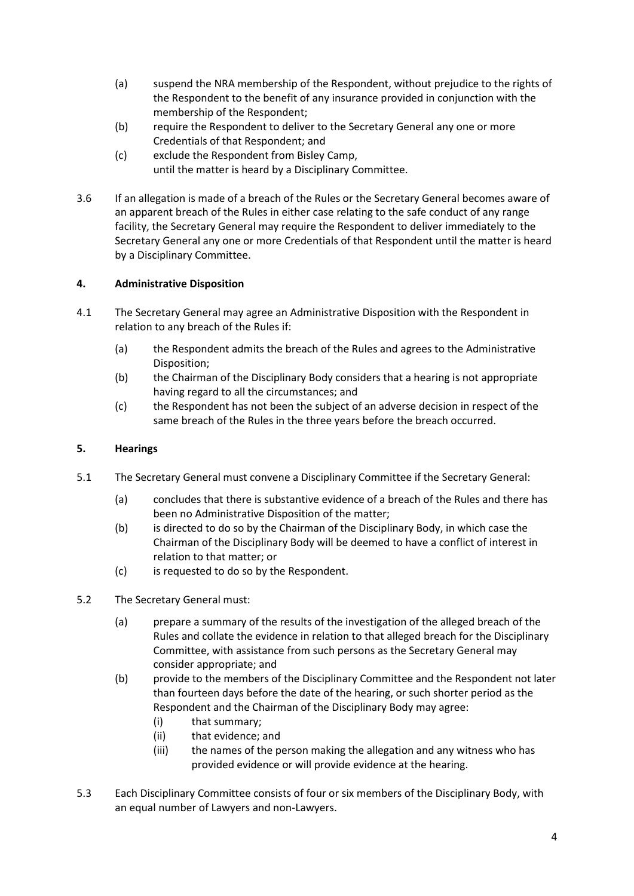- (a) suspend the NRA membership of the Respondent, without prejudice to the rights of the Respondent to the benefit of any insurance provided in conjunction with the membership of the Respondent;
- (b) require the Respondent to deliver to the Secretary General any one or more Credentials of that Respondent; and
- (c) exclude the Respondent from Bisley Camp, until the matter is heard by a Disciplinary Committee.
- 3.6 If an allegation is made of a breach of the Rules or the Secretary General becomes aware of an apparent breach of the Rules in either case relating to the safe conduct of any range facility, the Secretary General may require the Respondent to deliver immediately to the Secretary General any one or more Credentials of that Respondent until the matter is heard by a Disciplinary Committee.

# **4. Administrative Disposition**

- 4.1 The Secretary General may agree an Administrative Disposition with the Respondent in relation to any breach of the Rules if:
	- (a) the Respondent admits the breach of the Rules and agrees to the Administrative Disposition;
	- (b) the Chairman of the Disciplinary Body considers that a hearing is not appropriate having regard to all the circumstances; and
	- (c) the Respondent has not been the subject of an adverse decision in respect of the same breach of the Rules in the three years before the breach occurred.

## **5. Hearings**

- 5.1 The Secretary General must convene a Disciplinary Committee if the Secretary General:
	- (a) concludes that there is substantive evidence of a breach of the Rules and there has been no Administrative Disposition of the matter;
	- (b) is directed to do so by the Chairman of the Disciplinary Body, in which case the Chairman of the Disciplinary Body will be deemed to have a conflict of interest in relation to that matter; or
	- (c) is requested to do so by the Respondent.
- 5.2 The Secretary General must:
	- (a) prepare a summary of the results of the investigation of the alleged breach of the Rules and collate the evidence in relation to that alleged breach for the Disciplinary Committee, with assistance from such persons as the Secretary General may consider appropriate; and
	- (b) provide to the members of the Disciplinary Committee and the Respondent not later than fourteen days before the date of the hearing, or such shorter period as the Respondent and the Chairman of the Disciplinary Body may agree:
		- (i) that summary;
		- (ii) that evidence; and
		- (iii) the names of the person making the allegation and any witness who has provided evidence or will provide evidence at the hearing.
- 5.3 Each Disciplinary Committee consists of four or six members of the Disciplinary Body, with an equal number of Lawyers and non-Lawyers.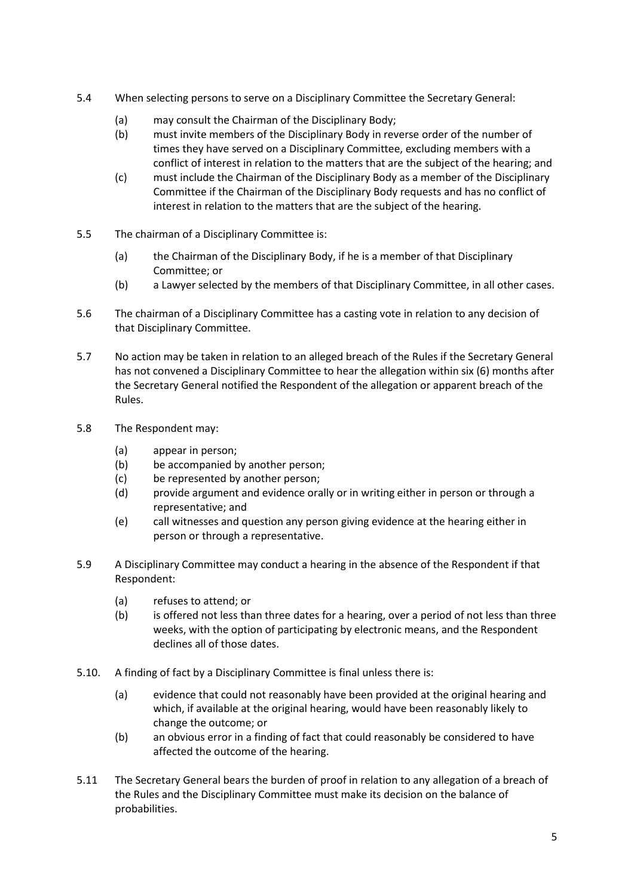- 5.4 When selecting persons to serve on a Disciplinary Committee the Secretary General:
	- (a) may consult the Chairman of the Disciplinary Body;
	- (b) must invite members of the Disciplinary Body in reverse order of the number of times they have served on a Disciplinary Committee, excluding members with a conflict of interest in relation to the matters that are the subject of the hearing; and
	- (c) must include the Chairman of the Disciplinary Body as a member of the Disciplinary Committee if the Chairman of the Disciplinary Body requests and has no conflict of interest in relation to the matters that are the subject of the hearing.
- 5.5 The chairman of a Disciplinary Committee is:
	- (a) the Chairman of the Disciplinary Body, if he is a member of that Disciplinary Committee; or
	- (b) a Lawyer selected by the members of that Disciplinary Committee, in all other cases.
- 5.6 The chairman of a Disciplinary Committee has a casting vote in relation to any decision of that Disciplinary Committee.
- 5.7 No action may be taken in relation to an alleged breach of the Rules if the Secretary General has not convened a Disciplinary Committee to hear the allegation within six (6) months after the Secretary General notified the Respondent of the allegation or apparent breach of the Rules.
- 5.8 The Respondent may:
	- (a) appear in person;
	- (b) be accompanied by another person;
	- (c) be represented by another person;
	- (d) provide argument and evidence orally or in writing either in person or through a representative; and
	- (e) call witnesses and question any person giving evidence at the hearing either in person or through a representative.
- 5.9 A Disciplinary Committee may conduct a hearing in the absence of the Respondent if that Respondent:
	- (a) refuses to attend; or
	- (b) is offered not less than three dates for a hearing, over a period of not less than three weeks, with the option of participating by electronic means, and the Respondent declines all of those dates.
- 5.10. A finding of fact by a Disciplinary Committee is final unless there is:
	- (a) evidence that could not reasonably have been provided at the original hearing and which, if available at the original hearing, would have been reasonably likely to change the outcome; or
	- (b) an obvious error in a finding of fact that could reasonably be considered to have affected the outcome of the hearing.
- 5.11 The Secretary General bears the burden of proof in relation to any allegation of a breach of the Rules and the Disciplinary Committee must make its decision on the balance of probabilities.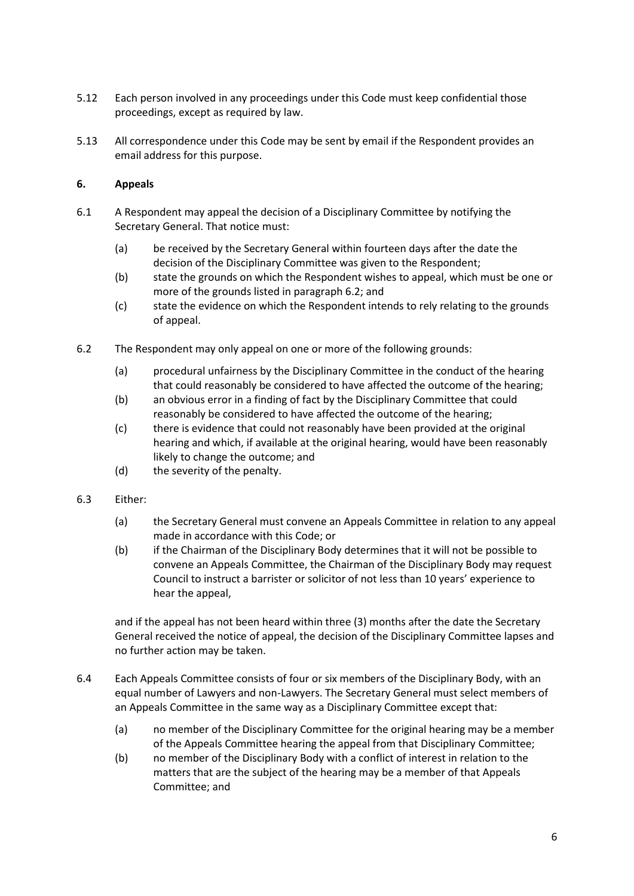- 5.12 Each person involved in any proceedings under this Code must keep confidential those proceedings, except as required by law.
- 5.13 All correspondence under this Code may be sent by email if the Respondent provides an email address for this purpose.

### **6. Appeals**

- 6.1 A Respondent may appeal the decision of a Disciplinary Committee by notifying the Secretary General. That notice must:
	- (a) be received by the Secretary General within fourteen days after the date the decision of the Disciplinary Committee was given to the Respondent;
	- (b) state the grounds on which the Respondent wishes to appeal, which must be one or more of the grounds listed in paragraph 6.2; and
	- (c) state the evidence on which the Respondent intends to rely relating to the grounds of appeal.
- 6.2 The Respondent may only appeal on one or more of the following grounds:
	- (a) procedural unfairness by the Disciplinary Committee in the conduct of the hearing that could reasonably be considered to have affected the outcome of the hearing;
	- (b) an obvious error in a finding of fact by the Disciplinary Committee that could reasonably be considered to have affected the outcome of the hearing;
	- (c) there is evidence that could not reasonably have been provided at the original hearing and which, if available at the original hearing, would have been reasonably likely to change the outcome; and
	- (d) the severity of the penalty.
- 6.3 Either:
	- (a) the Secretary General must convene an Appeals Committee in relation to any appeal made in accordance with this Code; or
	- (b) if the Chairman of the Disciplinary Body determines that it will not be possible to convene an Appeals Committee, the Chairman of the Disciplinary Body may request Council to instruct a barrister or solicitor of not less than 10 years' experience to hear the appeal,

and if the appeal has not been heard within three (3) months after the date the Secretary General received the notice of appeal, the decision of the Disciplinary Committee lapses and no further action may be taken.

- 6.4 Each Appeals Committee consists of four or six members of the Disciplinary Body, with an equal number of Lawyers and non-Lawyers. The Secretary General must select members of an Appeals Committee in the same way as a Disciplinary Committee except that:
	- (a) no member of the Disciplinary Committee for the original hearing may be a member of the Appeals Committee hearing the appeal from that Disciplinary Committee;
	- (b) no member of the Disciplinary Body with a conflict of interest in relation to the matters that are the subject of the hearing may be a member of that Appeals Committee; and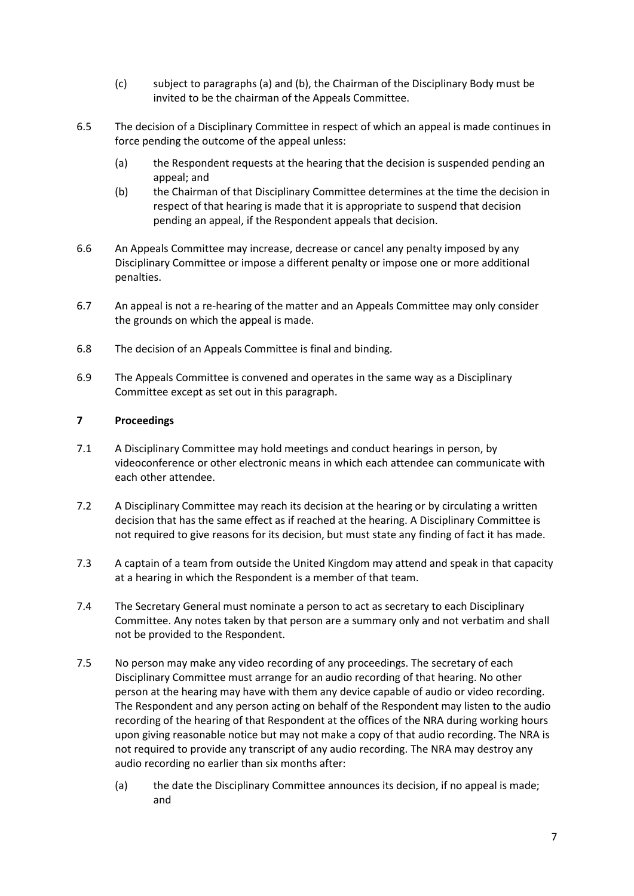- (c) subject to paragraphs (a) and (b), the Chairman of the Disciplinary Body must be invited to be the chairman of the Appeals Committee.
- 6.5 The decision of a Disciplinary Committee in respect of which an appeal is made continues in force pending the outcome of the appeal unless:
	- (a) the Respondent requests at the hearing that the decision is suspended pending an appeal; and
	- (b) the Chairman of that Disciplinary Committee determines at the time the decision in respect of that hearing is made that it is appropriate to suspend that decision pending an appeal, if the Respondent appeals that decision.
- 6.6 An Appeals Committee may increase, decrease or cancel any penalty imposed by any Disciplinary Committee or impose a different penalty or impose one or more additional penalties.
- 6.7 An appeal is not a re-hearing of the matter and an Appeals Committee may only consider the grounds on which the appeal is made.
- 6.8 The decision of an Appeals Committee is final and binding.
- 6.9 The Appeals Committee is convened and operates in the same way as a Disciplinary Committee except as set out in this paragraph.

### **7 Proceedings**

- 7.1 A Disciplinary Committee may hold meetings and conduct hearings in person, by videoconference or other electronic means in which each attendee can communicate with each other attendee.
- 7.2 A Disciplinary Committee may reach its decision at the hearing or by circulating a written decision that has the same effect as if reached at the hearing. A Disciplinary Committee is not required to give reasons for its decision, but must state any finding of fact it has made.
- 7.3 A captain of a team from outside the United Kingdom may attend and speak in that capacity at a hearing in which the Respondent is a member of that team.
- 7.4 The Secretary General must nominate a person to act as secretary to each Disciplinary Committee. Any notes taken by that person are a summary only and not verbatim and shall not be provided to the Respondent.
- 7.5 No person may make any video recording of any proceedings. The secretary of each Disciplinary Committee must arrange for an audio recording of that hearing. No other person at the hearing may have with them any device capable of audio or video recording. The Respondent and any person acting on behalf of the Respondent may listen to the audio recording of the hearing of that Respondent at the offices of the NRA during working hours upon giving reasonable notice but may not make a copy of that audio recording. The NRA is not required to provide any transcript of any audio recording. The NRA may destroy any audio recording no earlier than six months after:
	- (a) the date the Disciplinary Committee announces its decision, if no appeal is made; and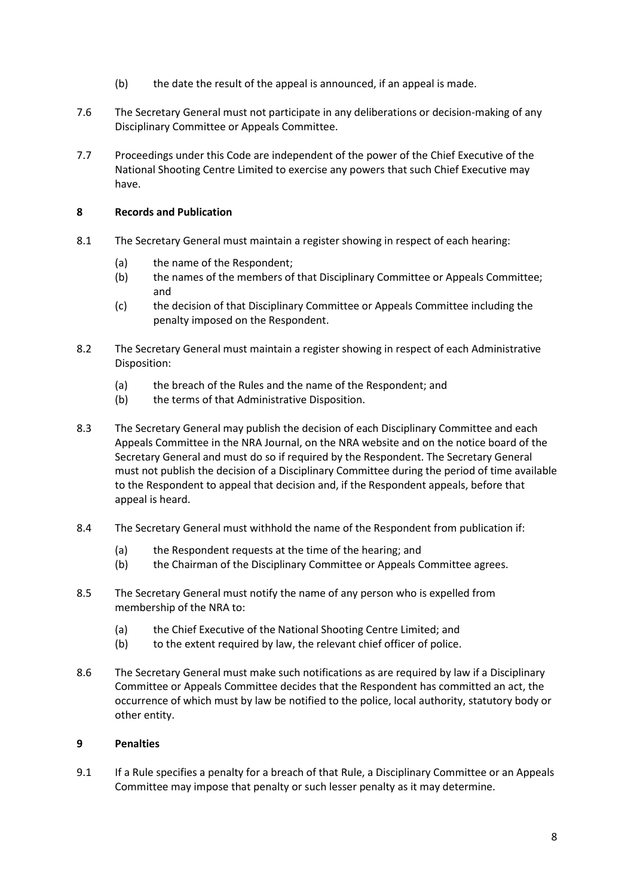- (b) the date the result of the appeal is announced, if an appeal is made.
- 7.6 The Secretary General must not participate in any deliberations or decision-making of any Disciplinary Committee or Appeals Committee.
- 7.7 Proceedings under this Code are independent of the power of the Chief Executive of the National Shooting Centre Limited to exercise any powers that such Chief Executive may have.

### **8 Records and Publication**

- 8.1 The Secretary General must maintain a register showing in respect of each hearing:
	- (a) the name of the Respondent;
	- (b) the names of the members of that Disciplinary Committee or Appeals Committee; and
	- (c) the decision of that Disciplinary Committee or Appeals Committee including the penalty imposed on the Respondent.
- 8.2 The Secretary General must maintain a register showing in respect of each Administrative Disposition:
	- (a) the breach of the Rules and the name of the Respondent; and
	- (b) the terms of that Administrative Disposition.
- 8.3 The Secretary General may publish the decision of each Disciplinary Committee and each Appeals Committee in the NRA Journal, on the NRA website and on the notice board of the Secretary General and must do so if required by the Respondent. The Secretary General must not publish the decision of a Disciplinary Committee during the period of time available to the Respondent to appeal that decision and, if the Respondent appeals, before that appeal is heard.
- 8.4 The Secretary General must withhold the name of the Respondent from publication if:
	- (a) the Respondent requests at the time of the hearing; and
	- (b) the Chairman of the Disciplinary Committee or Appeals Committee agrees.
- 8.5 The Secretary General must notify the name of any person who is expelled from membership of the NRA to:
	- (a) the Chief Executive of the National Shooting Centre Limited; and
	- (b) to the extent required by law, the relevant chief officer of police.
- 8.6 The Secretary General must make such notifications as are required by law if a Disciplinary Committee or Appeals Committee decides that the Respondent has committed an act, the occurrence of which must by law be notified to the police, local authority, statutory body or other entity.

#### **9 Penalties**

9.1 If a Rule specifies a penalty for a breach of that Rule, a Disciplinary Committee or an Appeals Committee may impose that penalty or such lesser penalty as it may determine.